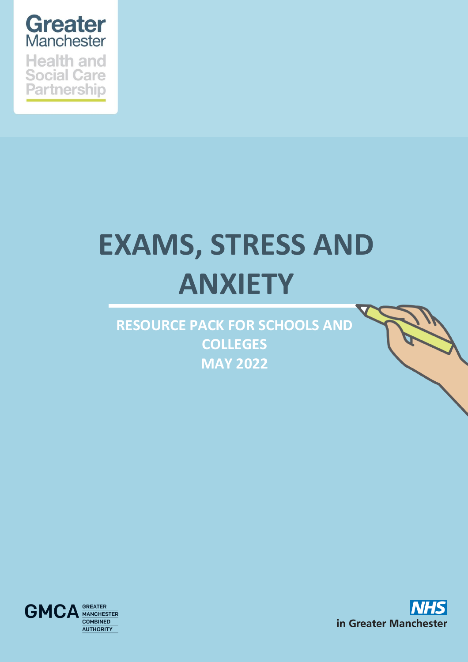

**Partnership** 

# **EXAMS, STRESS AND ANXIETY**

**RESOURCE PACK FOR SCHOOLS AND COLLEGES MAY 2022**



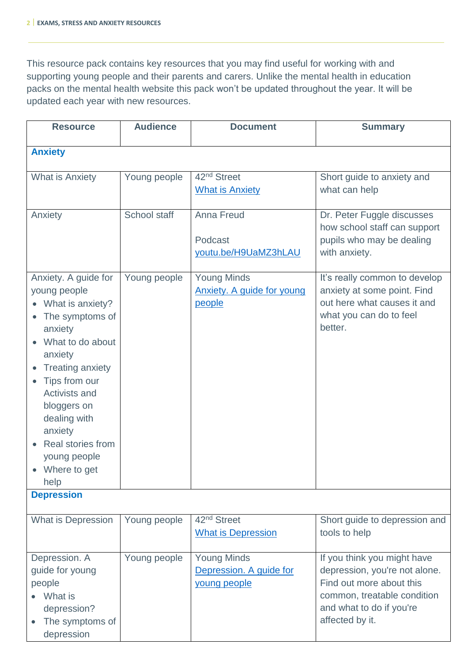This resource pack contains key resources that you may find useful for working with and supporting young people and their parents and carers. Unlike the mental health in education packs on the mental health website this pack won't be updated throughout the year. It will be updated each year with new resources.

| <b>Resource</b>                                                                                                                                                                                                                                                                                               | <b>Audience</b> | <b>Document</b>                                                   | <b>Summary</b>                                                                                                                                                         |
|---------------------------------------------------------------------------------------------------------------------------------------------------------------------------------------------------------------------------------------------------------------------------------------------------------------|-----------------|-------------------------------------------------------------------|------------------------------------------------------------------------------------------------------------------------------------------------------------------------|
| <b>Anxiety</b>                                                                                                                                                                                                                                                                                                |                 |                                                                   |                                                                                                                                                                        |
| <b>What is Anxiety</b>                                                                                                                                                                                                                                                                                        | Young people    | 42 <sup>nd</sup> Street<br><b>What is Anxiety</b>                 | Short guide to anxiety and<br>what can help                                                                                                                            |
| Anxiety                                                                                                                                                                                                                                                                                                       | School staff    | <b>Anna Freud</b><br>Podcast<br>youtu.be/H9UaMZ3hLAU              | Dr. Peter Fuggle discusses<br>how school staff can support<br>pupils who may be dealing<br>with anxiety.                                                               |
| Anxiety. A guide for<br>young people<br>What is anxiety?<br>The symptoms of<br>anxiety<br>What to do about<br>anxiety<br><b>Treating anxiety</b><br>Tips from our<br>$\bullet$<br><b>Activists and</b><br>bloggers on<br>dealing with<br>anxiety<br>Real stories from<br>young people<br>Where to get<br>help | Young people    | <b>Young Minds</b><br><b>Anxiety. A guide for young</b><br>people | It's really common to develop<br>anxiety at some point. Find<br>out here what causes it and<br>what you can do to feel<br>better.                                      |
| <b>Depression</b>                                                                                                                                                                                                                                                                                             |                 |                                                                   |                                                                                                                                                                        |
| <b>What is Depression</b>                                                                                                                                                                                                                                                                                     | Young people    | 42 <sup>nd</sup> Street<br><b>What is Depression</b>              | Short guide to depression and<br>tools to help                                                                                                                         |
| Depression. A<br>guide for young<br>people<br>What is<br>depression?<br>The symptoms of<br>depression                                                                                                                                                                                                         | Young people    | <b>Young Minds</b><br>Depression. A guide for<br>young people     | If you think you might have<br>depression, you're not alone.<br>Find out more about this<br>common, treatable condition<br>and what to do if you're<br>affected by it. |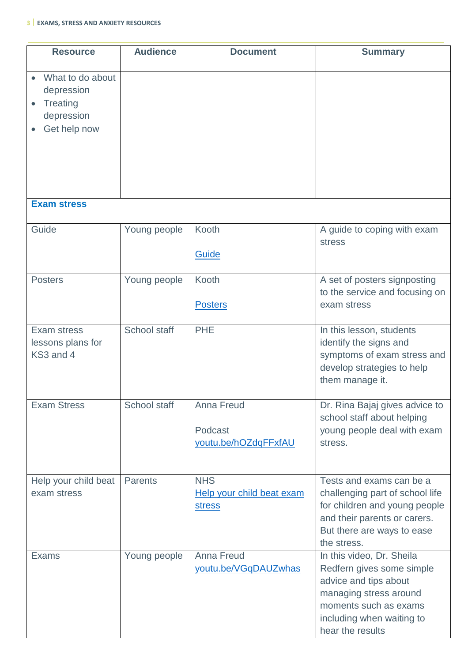### **3 EXAMS, STRESS AND ANXIETY RESOURCES**

| <b>Resource</b>                                                                 | <b>Audience</b> | <b>Document</b>                                          | <b>Summary</b>                                                                                                                                                                      |
|---------------------------------------------------------------------------------|-----------------|----------------------------------------------------------|-------------------------------------------------------------------------------------------------------------------------------------------------------------------------------------|
| What to do about<br>depression<br><b>Treating</b><br>depression<br>Get help now |                 |                                                          |                                                                                                                                                                                     |
| <b>Exam stress</b>                                                              |                 |                                                          |                                                                                                                                                                                     |
| Guide                                                                           | Young people    | Kooth<br>Guide                                           | A guide to coping with exam<br>stress                                                                                                                                               |
| <b>Posters</b>                                                                  | Young people    | Kooth<br><b>Posters</b>                                  | A set of posters signposting<br>to the service and focusing on<br>exam stress                                                                                                       |
| Exam stress<br>lessons plans for<br>KS3 and 4                                   | School staff    | <b>PHE</b>                                               | In this lesson, students<br>identify the signs and<br>symptoms of exam stress and<br>develop strategies to help<br>them manage it.                                                  |
| <b>Exam Stress</b>                                                              | School staff    | <b>Anna Freud</b><br>Podcast<br>youtu.be/hOZdqFFxfAU     | Dr. Rina Bajaj gives advice to<br>school staff about helping<br>young people deal with exam<br>stress.                                                                              |
| Help your child beat<br>exam stress                                             | <b>Parents</b>  | <b>NHS</b><br>Help your child beat exam<br><b>stress</b> | Tests and exams can be a<br>challenging part of school life<br>for children and young people<br>and their parents or carers.<br>But there are ways to ease<br>the stress.           |
| <b>Exams</b>                                                                    | Young people    | <b>Anna Freud</b><br>youtu.be/VGqDAUZwhas                | In this video, Dr. Sheila<br>Redfern gives some simple<br>advice and tips about<br>managing stress around<br>moments such as exams<br>including when waiting to<br>hear the results |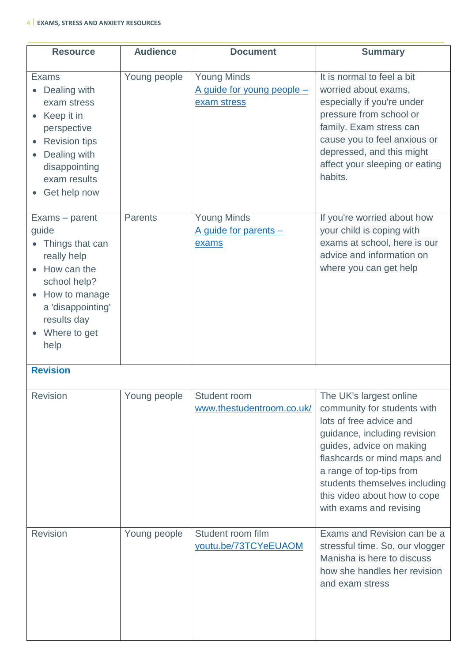## **4 EXAMS, STRESS AND ANXIETY RESOURCES**

| <b>Resource</b>                                                                                                                                                       | <b>Audience</b> | <b>Document</b>                                                 | <b>Summary</b>                                                                                                                                                                                                                                   |
|-----------------------------------------------------------------------------------------------------------------------------------------------------------------------|-----------------|-----------------------------------------------------------------|--------------------------------------------------------------------------------------------------------------------------------------------------------------------------------------------------------------------------------------------------|
| <b>Exams</b><br>Dealing with<br>exam stress<br>Keep it in<br>perspective<br><b>Revision tips</b><br>Dealing with<br>disappointing<br>exam results<br>Get help now     | Young people    | <b>Young Minds</b><br>A guide for young people -<br>exam stress | It is normal to feel a bit<br>worried about exams,<br>especially if you're under<br>pressure from school or<br>family. Exam stress can<br>cause you to feel anxious or<br>depressed, and this might<br>affect your sleeping or eating<br>habits. |
| Exams – parent<br>quide<br>Things that can<br>really help<br>How can the<br>school help?<br>How to manage<br>a 'disappointing'<br>results day<br>Where to get<br>help | <b>Parents</b>  | <b>Young Minds</b><br>A guide for parents -<br>exams            | If you're worried about how<br>your child is coping with<br>exams at school, here is our<br>advice and information on<br>where you can get help                                                                                                  |

# **Revision**

| <b>Revision</b> | Young people | Student room              | The UK's largest online         |
|-----------------|--------------|---------------------------|---------------------------------|
|                 |              | www.thestudentroom.co.uk/ | community for students with     |
|                 |              |                           | lots of free advice and         |
|                 |              |                           | guidance, including revision    |
|                 |              |                           | guides, advice on making        |
|                 |              |                           | flashcards or mind maps and     |
|                 |              |                           | a range of top-tips from        |
|                 |              |                           | students themselves including   |
|                 |              |                           | this video about how to cope    |
|                 |              |                           | with exams and revising         |
|                 |              |                           |                                 |
| <b>Revision</b> | Young people | Student room film         | Exams and Revision can be a     |
|                 |              | youtu.be/73TCYeEUAOM      | stressful time. So, our vlogger |
|                 |              |                           | Manisha is here to discuss      |
|                 |              |                           | how she handles her revision    |
|                 |              |                           | and exam stress                 |
|                 |              |                           |                                 |
|                 |              |                           |                                 |
|                 |              |                           |                                 |
|                 |              |                           |                                 |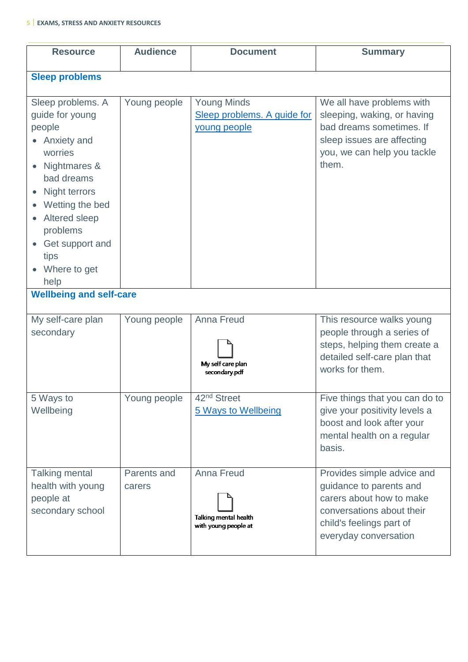### **5 EXAMS, STRESS AND ANXIETY RESOURCES**

| <b>Resource</b>                                                                                                                                                                                                                                                             | <b>Audience</b>       | <b>Document</b>                                                    | <b>Summary</b>                                                                                                                                                      |
|-----------------------------------------------------------------------------------------------------------------------------------------------------------------------------------------------------------------------------------------------------------------------------|-----------------------|--------------------------------------------------------------------|---------------------------------------------------------------------------------------------------------------------------------------------------------------------|
| <b>Sleep problems</b>                                                                                                                                                                                                                                                       |                       |                                                                    |                                                                                                                                                                     |
| Sleep problems. A<br>guide for young<br>people<br>• Anxiety and<br>worries<br>Nightmares &<br>bad dreams<br>Night terrors<br>Wetting the bed<br>Altered sleep<br>$\bullet$<br>problems<br>Get support and<br>tips<br>Where to get<br>help<br><b>Wellbeing and self-care</b> | Young people          | <b>Young Minds</b><br>Sleep problems. A guide for<br>young people  | We all have problems with<br>sleeping, waking, or having<br>bad dreams sometimes. If<br>sleep issues are affecting<br>you, we can help you tackle<br>them.          |
|                                                                                                                                                                                                                                                                             |                       |                                                                    |                                                                                                                                                                     |
| My self-care plan<br>secondary                                                                                                                                                                                                                                              | Young people          | <b>Anna Freud</b><br>My self care plan<br>secondary.pdf            | This resource walks young<br>people through a series of<br>steps, helping them create a<br>detailed self-care plan that<br>works for them.                          |
| 5 Ways to<br>Wellbeing                                                                                                                                                                                                                                                      | Young people          | 42 <sup>nd</sup> Street<br>5 Ways to Wellbeing                     | Five things that you can do to<br>give your positivity levels a<br>boost and look after your<br>mental health on a regular<br>basis.                                |
| <b>Talking mental</b><br>health with young<br>people at<br>secondary school                                                                                                                                                                                                 | Parents and<br>carers | <b>Anna Freud</b><br>Talking mental health<br>with young people at | Provides simple advice and<br>guidance to parents and<br>carers about how to make<br>conversations about their<br>child's feelings part of<br>everyday conversation |